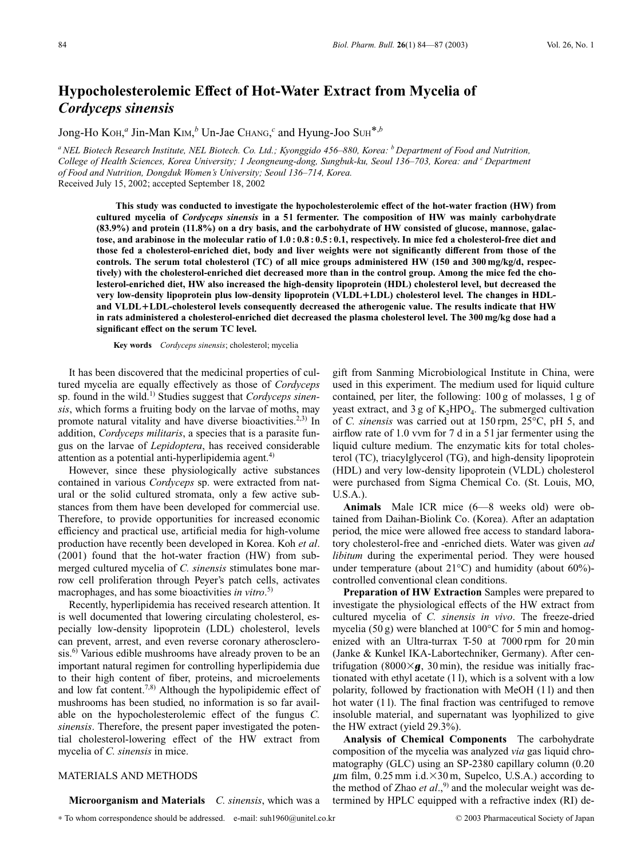## **Hypocholesterolemic Effect of Hot-Water Extract from Mycelia of** *Cordyceps sinensis*

Jong-Ho KOH, *<sup>a</sup>* Jin-Man KIM, *<sup>b</sup>* Un-Jae CHANG, *<sup>c</sup>* and Hyung-Joo SUH\*,*<sup>b</sup>*

*aNEL Biotech Research Institute, NEL Biotech. Co. Ltd.; Kyonggido 456–880, Korea: b Department of Food and Nutrition, College of Health Sciences, Korea University; 1 Jeongneung-dong, Sungbuk-ku, Seoul 136–703, Korea: and <sup>c</sup> Department of Food and Nutrition, Dongduk Women's University; Seoul 136–714, Korea.* Received July 15, 2002; accepted September 18, 2002

**This study was conducted to investigate the hypocholesterolemic effect of the hot-water fraction (HW) from cultured mycelia of** *Cordyceps sinensis* **in a 5 l fermenter. The composition of HW was mainly carbohydrate (83.9%) and protein (11.8%) on a dry basis, and the carbohydrate of HW consisted of glucose, mannose, galactose, and arabinose in the molecular ratio of 1.0 : 0.8 : 0.5 : 0.1, respectively. In mice fed a cholesterol-free diet and those fed a cholesterol-enriched diet, body and liver weights were not significantly different from those of the controls. The serum total cholesterol (TC) of all mice groups administered HW (150 and 300 mg/kg/d, respectively) with the cholesterol-enriched diet decreased more than in the control group. Among the mice fed the cholesterol-enriched diet, HW also increased the high-density lipoprotein (HDL) cholesterol level, but decreased the very low-density lipoprotein plus low-density lipoprotein (VLDL**-**LDL) cholesterol level. The changes in HDLand VLDL**-**LDL-cholesterol levels consequently decreased the atherogenic value. The results indicate that HW in rats administered a cholesterol-enriched diet decreased the plasma cholesterol level. The 300 mg/kg dose had a significant effect on the serum TC level.** 

**Key words** *Cordyceps sinensis*; cholesterol; mycelia

It has been discovered that the medicinal properties of cultured mycelia are equally effectively as those of *Cordyceps* sp. found in the wild.1) Studies suggest that *Cordyceps sinensis*, which forms a fruiting body on the larvae of moths, may promote natural vitality and have diverse bioactivities.<sup>2,3)</sup> In addition, *Cordyceps militaris*, a species that is a parasite fungus on the larvae of *Lepidoptera*, has received considerable attention as a potential anti-hyperlipidemia agent. $4$ )

However, since these physiologically active substances contained in various *Cordyceps* sp. were extracted from natural or the solid cultured stromata, only a few active substances from them have been developed for commercial use. Therefore, to provide opportunities for increased economic efficiency and practical use, artificial media for high-volume production have recently been developed in Korea. Koh *et al*. (2001) found that the hot-water fraction (HW) from submerged cultured mycelia of *C. sinensis* stimulates bone marrow cell proliferation through Peyer's patch cells, activates macrophages, and has some bioactivities *in vitro*. 5)

Recently, hyperlipidemia has received research attention. It is well documented that lowering circulating cholesterol, especially low-density lipoprotein (LDL) cholesterol, levels can prevent, arrest, and even reverse coronary atherosclerosis.<sup>6)</sup> Various edible mushrooms have already proven to be an important natural regimen for controlling hyperlipidemia due to their high content of fiber, proteins, and microelements and low fat content.<sup>7,8)</sup> Although the hypolipidemic effect of mushrooms has been studied, no information is so far available on the hypocholesterolemic effect of the fungus *C. sinensis*. Therefore, the present paper investigated the potential cholesterol-lowering effect of the HW extract from mycelia of *C. sinensis* in mice.

## MATERIALS AND METHODS

**Microorganism and Materials** *C. sinensis*, which was a

∗ To whom correspondence should be addressed. e-mail: suh1960@unitel.co.kr © 2003 Pharmaceutical Society of Japan

gift from Sanming Microbiological Institute in China, were used in this experiment. The medium used for liquid culture contained, per liter, the following: 100 g of molasses, 1 g of yeast extract, and 3 g of  $K_2HPO_4$ . The submerged cultivation of *C. sinensis* was carried out at 150 rpm, 25°C, pH 5, and airflow rate of 1.0 vvm for 7 d in a 5 l jar fermenter using the liquid culture medium. The enzymatic kits for total cholesterol (TC), triacylglycerol (TG), and high-density lipoprotein (HDL) and very low-density lipoprotein (VLDL) cholesterol were purchased from Sigma Chemical Co. (St. Louis, MO, U.S.A.).

**Animals** Male ICR mice (6—8 weeks old) were obtained from Daihan-Biolink Co. (Korea). After an adaptation period, the mice were allowed free access to standard laboratory cholesterol-free and -enriched diets. Water was given *ad libitum* during the experimental period. They were housed under temperature (about  $21^{\circ}$ C) and humidity (about 60%)controlled conventional clean conditions.

**Preparation of HW Extraction** Samples were prepared to investigate the physiological effects of the HW extract from cultured mycelia of *C. sinensis in vivo*. The freeze-dried mycelia (50 g) were blanched at 100°C for 5 min and homogenized with an Ultra-turrax T-50 at 7000 rpm for 20 min (Janke & Kunkel IKA-Labortechniker, Germany). After centrifugation (8000 $\times$ **g**, 30 min), the residue was initially fractionated with ethyl acetate (1 l), which is a solvent with a low polarity, followed by fractionation with MeOH (1 l) and then hot water (11). The final fraction was centrifuged to remove insoluble material, and supernatant was lyophilized to give the HW extract (yield 29.3%).

**Analysis of Chemical Components** The carbohydrate composition of the mycelia was analyzed *via* gas liquid chromatography (GLC) using an SP-2380 capillary column (0.20  $\mu$ m film, 0.25 mm i.d. $\times$ 30 m, Supelco, U.S.A.) according to the method of Zhao et al.,<sup>9)</sup> and the molecular weight was determined by HPLC equipped with a refractive index (RI) de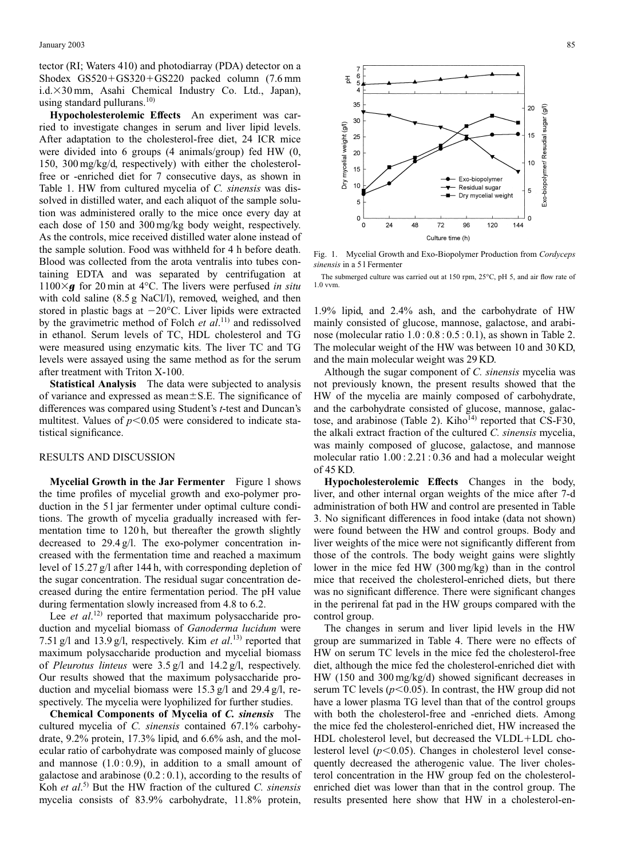tector (RI; Waters 410) and photodiarray (PDA) detector on a Shodex  $GS520+GS320+GS220$  packed column  $(7.6 \text{ mm})$ i.d.×30 mm, Asahi Chemical Industry Co. Ltd., Japan), using standard pullurans. $10$ )

**Hypocholesterolemic Effects** An experiment was carried to investigate changes in serum and liver lipid levels. After adaptation to the cholesterol-free diet, 24 ICR mice were divided into 6 groups (4 animals/group) fed HW (0, 150, 300 mg/kg/d, respectively) with either the cholesterolfree or -enriched diet for 7 consecutive days, as shown in Table 1. HW from cultured mycelia of *C. sinensis* was dissolved in distilled water, and each aliquot of the sample solution was administered orally to the mice once every day at each dose of 150 and 300 mg/kg body weight, respectively. As the controls, mice received distilled water alone instead of the sample solution. Food was withheld for 4 h before death. Blood was collected from the arota ventralis into tubes containing EDTA and was separated by centrifugation at  $1100 \times g$  for 20 min at 4°C. The livers were perfused *in situ* with cold saline (8.5 g NaCl/l), removed, weighed, and then stored in plastic bags at  $-20^{\circ}$ C. Liver lipids were extracted by the gravimetric method of Folch *et al*. 11) and redissolved in ethanol. Serum levels of TC, HDL cholesterol and TG were measured using enzymatic kits. The liver TC and TG levels were assayed using the same method as for the serum after treatment with Triton X-100.

**Statistical Analysis** The data were subjected to analysis of variance and expressed as mean $\pm$ S.E. The significance of differences was compared using Student's *t*-test and Duncan's multitest. Values of  $p<0.05$  were considered to indicate statistical significance.

## RESULTS AND DISCUSSION

**Mycelial Growth in the Jar Fermenter** Figure 1 shows the time profiles of mycelial growth and exo-polymer production in the 51 jar fermenter under optimal culture conditions. The growth of mycelia gradually increased with fermentation time to 120 h, but thereafter the growth slightly decreased to 29.4 g/l. The exo-polymer concentration increased with the fermentation time and reached a maximum level of 15.27 g/l after 144 h, with corresponding depletion of the sugar concentration. The residual sugar concentration decreased during the entire fermentation period. The pH value during fermentation slowly increased from 4.8 to 6.2.

Lee *et al.*<sup>12)</sup> reported that maximum polysaccharide production and mycelial biomass of *Ganoderma lucidum* were 7.51 g/l and 13.9 g/l, respectively. Kim *et al*. 13) reported that maximum polysaccharide production and mycelial biomass of *Pleurotus linteus* were 3.5 g/l and 14.2 g/l, respectively. Our results showed that the maximum polysaccharide production and mycelial biomass were 15.3 g/l and 29.4 g/l, respectively. The mycelia were lyophilized for further studies.

**Chemical Components of Mycelia of** *C. sinensis* The cultured mycelia of *C. sinensis* contained 67.1% carbohydrate, 9.2% protein, 17.3% lipid, and 6.6% ash, and the molecular ratio of carbohydrate was composed mainly of glucose and mannose  $(1.0:0.9)$ , in addition to a small amount of galactose and arabinose  $(0.2:0.1)$ , according to the results of Koh *et al*. 5) But the HW fraction of the cultured *C. sinensis* mycelia consists of 83.9% carbohydrate, 11.8% protein,



Fig. 1. Mycelial Growth and Exo-Biopolymer Production from *Cordyceps sinensis* in a 5 l Fermenter

The submerged culture was carried out at 150 rpm, 25°C, pH 5, and air flow rate of 1.0 vvm.

1.9% lipid, and 2.4% ash, and the carbohydrate of HW mainly consisted of glucose, mannose, galactose, and arabinose (molecular ratio 1.0 : 0.8 : 0.5 : 0.1), as shown in Table 2. The molecular weight of the HW was between 10 and 30 KD, and the main molecular weight was 29 KD.

Although the sugar component of *C. sinensis* mycelia was not previously known, the present results showed that the HW of the mycelia are mainly composed of carbohydrate, and the carbohydrate consisted of glucose, mannose, galactose, and arabinose (Table 2). Kiho $^{14}$  reported that CS-F30, the alkali extract fraction of the cultured *C. sinensis* mycelia, was mainly composed of glucose, galactose, and mannose molecular ratio 1.00 : 2.21 : 0.36 and had a molecular weight of 45 KD.

**Hypocholesterolemic Effects** Changes in the body, liver, and other internal organ weights of the mice after 7-d administration of both HW and control are presented in Table 3. No significant differences in food intake (data not shown) were found between the HW and control groups. Body and liver weights of the mice were not significantly different from those of the controls. The body weight gains were slightly lower in the mice fed HW (300 mg/kg) than in the control mice that received the cholesterol-enriched diets, but there was no significant difference. There were significant changes in the perirenal fat pad in the HW groups compared with the control group.

The changes in serum and liver lipid levels in the HW group are summarized in Table 4. There were no effects of HW on serum TC levels in the mice fed the cholesterol-free diet, although the mice fed the cholesterol-enriched diet with HW (150 and 300 mg/kg/d) showed significant decreases in serum TC levels  $(p<0.05)$ . In contrast, the HW group did not have a lower plasma TG level than that of the control groups with both the cholesterol-free and -enriched diets. Among the mice fed the cholesterol-enriched diet, HW increased the HDL cholesterol level, but decreased the  $VLDL+LDL$  cholesterol level  $(p<0.05)$ . Changes in cholesterol level consequently decreased the atherogenic value. The liver cholesterol concentration in the HW group fed on the cholesterolenriched diet was lower than that in the control group. The results presented here show that HW in a cholesterol-en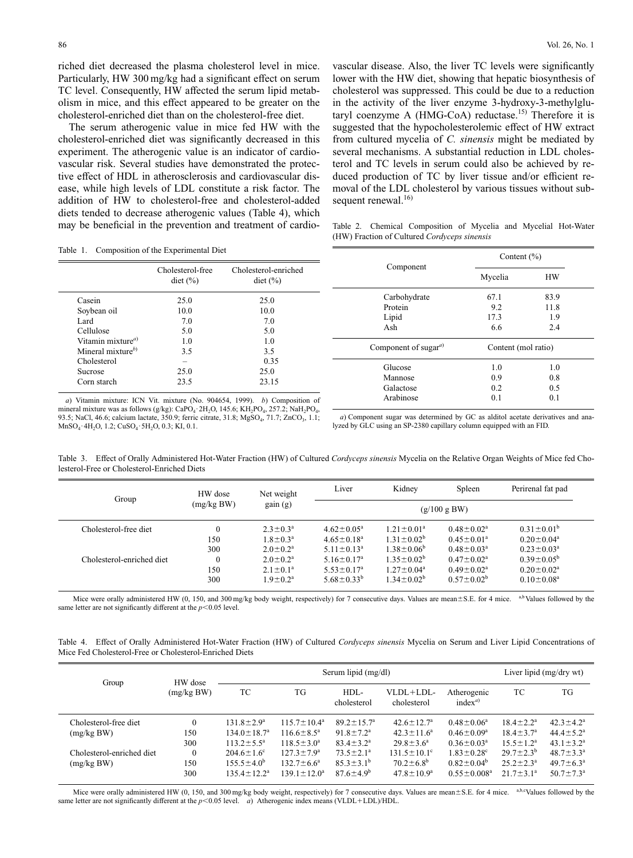riched diet decreased the plasma cholesterol level in mice. Particularly, HW 300 mg/kg had a significant effect on serum TC level. Consequently, HW affected the serum lipid metabolism in mice, and this effect appeared to be greater on the cholesterol-enriched diet than on the cholesterol-free diet.

The serum atherogenic value in mice fed HW with the cholesterol-enriched diet was significantly decreased in this experiment. The atherogenic value is an indicator of cardiovascular risk. Several studies have demonstrated the protective effect of HDL in atherosclerosis and cardiovascular disease, while high levels of LDL constitute a risk factor. The addition of HW to cholesterol-free and cholesterol-added diets tended to decrease atherogenic values (Table 4), which may be beneficial in the prevention and treatment of cardio-

vascular disease. Also, the liver TC levels were significantly lower with the HW diet, showing that hepatic biosynthesis of cholesterol was suppressed. This could be due to a reduction in the activity of the liver enzyme 3-hydroxy-3-methylglutaryl coenzyme A (HMG-CoA) reductase.<sup>15)</sup> Therefore it is suggested that the hypocholesterolemic effect of HW extract from cultured mycelia of *C. sinensis* might be mediated by several mechanisms. A substantial reduction in LDL cholesterol and TC levels in serum could also be achieved by reduced production of TC by liver tissue and/or efficient removal of the LDL cholesterol by various tissues without subsequent renewal. $^{16)}$ 

Table 1. Composition of the Experimental Diet

|                                      | racio II composition of the Experimental Biet |                                                                            |                            | Content $(\% )$     |           |  |
|--------------------------------------|-----------------------------------------------|----------------------------------------------------------------------------|----------------------------|---------------------|-----------|--|
|                                      | Cholesterol-free<br>$\det$ (%)                | Cholesterol-enriched<br>$\text{dict}$ (%)                                  | Component                  | Mycelia             | <b>HW</b> |  |
| Casein                               | 25.0                                          | 25.0                                                                       | Carbohydrate               | 67.1                | 83.9      |  |
| Soybean oil                          | 10.0                                          | 10.0                                                                       | Protein                    | 9.2                 | 11.8      |  |
| Lard                                 | 7.0                                           | 7.0                                                                        | Lipid                      | 17.3                | 1.9       |  |
| Cellulose                            | 5.0                                           | 5.0                                                                        | Ash                        | 6.6                 | 2.4       |  |
| Vitamin mixture <sup><i>a</i>)</sup> | 1.0                                           | 1.0                                                                        |                            |                     |           |  |
| Mineral mixture $^{(b)}$             | 3.5                                           | 3.5                                                                        | Component of sugar $^{a)}$ | Content (mol ratio) |           |  |
| Cholesterol                          |                                               | 0.35                                                                       |                            |                     |           |  |
| Sucrose                              | 25.0                                          | 25.0                                                                       | Glucose                    | 1.0                 | 1.0       |  |
| Corn starch                          | 23.5                                          | 23.15                                                                      | Mannose                    | 0.9                 | 0.8       |  |
|                                      |                                               |                                                                            | Galactose                  | 0.2                 | 0.5       |  |
|                                      |                                               | a) Vitamin mixtura; ICN Vit. mixtura (No. 004654, 1000). In Composition of | Arabinose                  | 0.1                 | 0.1       |  |

*a*) Vitamin mixture: ICN Vit. mixture (No. 904654, 1999). *b*) Composition of mineral mixture was as follows (g/kg): CaPO<sub>4</sub>·2H<sub>2</sub>O, 145.6; KH<sub>2</sub>PO<sub>4</sub>, 257.2; NaH<sub>2</sub>PO<sub>4</sub>, 93.5; NaCl, 46.6; calcium lactate, 350.9; ferric citrate, 31.8; MgSO<sub>4</sub>, 71.7; ZnCO<sub>3</sub>, 1.1; MnSO<sub>4</sub>·4H<sub>2</sub>O, 1.2; CuSO<sub>4</sub>·5H<sub>2</sub>O, 0.3; KI, 0.1.

*a*) Component sugar was determined by GC as alditol acetate derivatives and analyzed by GLC using an SP-2380 capillary column equipped with an FID.

Table 3. Effect of Orally Administered Hot-Water Fraction (HW) of Cultured *Cordyceps sinensis* Mycelia on the Relative Organ Weights of Mice fed Cholesterol-Free or Cholesterol-Enriched Diets

| Group                     | HW dose      | Net weight<br>gain (g) | Liver                   | Kidney            | Spleen            | Perirenal fat pad       |  |
|---------------------------|--------------|------------------------|-------------------------|-------------------|-------------------|-------------------------|--|
|                           | (mg/kg BW)   |                        | (g/100 g B W)           |                   |                   |                         |  |
| Cholesterol-free diet     | $\mathbf{0}$ | $2.3 \pm 0.3^a$        | $4.62 \pm 0.05^a$       | $1.21 \pm 0.01^a$ | $0.48 \pm 0.02^a$ | $0.31 \pm 0.01^{\rm b}$ |  |
|                           | 150          | $1.8 \pm 0.3^a$        | $4.65 \pm 0.18^a$       | $1.31 \pm 0.02^b$ | $0.45 \pm 0.01^a$ | $0.20 \pm 0.04^a$       |  |
|                           | 300          | $2.0 \pm 0.2^a$        | $5.11 \pm 0.13^a$       | $1.38 \pm 0.06^b$ | $0.48 \pm 0.03^a$ | $0.23 \pm 0.03^a$       |  |
| Cholesterol-enriched diet | $\mathbf{0}$ | $2.0 \pm 0.2^a$        | $5.16 \pm 0.17^{\circ}$ | $1.35 \pm 0.02^b$ | $0.47 \pm 0.02^a$ | $0.39 \pm 0.05^{\rm b}$ |  |
|                           | 150          | $2.1 \pm 0.1^a$        | $5.53 \pm 0.17^a$       | $1.27 \pm 0.04^a$ | $0.49 \pm 0.02^a$ | $0.20 \pm 0.02^a$       |  |
|                           | 300          | $1.9 \pm 0.2^a$        | $5.68 \pm 0.33^b$       | $1.34 \pm 0.02^b$ | $0.57 \pm 0.02^b$ | $0.10 \pm 0.08^a$       |  |

Mice were orally administered HW (0, 150, and 300 mg/kg body weight, respectively) for 7 consecutive days. Values are mean±S.E. for 4 mice. <sup>a,b</sup>Values followed by the same letter are not significantly different at the  $p<0.05$  level.

Table 4. Effect of Orally Administered Hot-Water Fraction (HW) of Cultured *Cordyceps sinensis* Mycelia on Serum and Liver Lipid Concentrations of Mice Fed Cholesterol-Free or Cholesterol-Enriched Diets

| Group                     |                       | Serum lipid (mg/dl)      |                         |                             |                          |                            | Liver lipid (mg/dry wt) |                        |
|---------------------------|-----------------------|--------------------------|-------------------------|-----------------------------|--------------------------|----------------------------|-------------------------|------------------------|
|                           | HW dose<br>(mg/kg BW) | TC                       | TG                      | HDL-<br>cholesterol         | VLDL+LDL-<br>cholesterol | Atherogenic<br>$index^{a}$ | TC                      | <b>TG</b>              |
| Cholesterol-free diet     | $\Omega$              | $131.8 \pm 2.9^a$        | $115.7 \pm 10.4^a$      | $89.2 \pm 15.7^{\circ}$     | $42.6 \pm 12.7^{\rm a}$  | $0.48 \pm 0.06^a$          | $18.4 \pm 2.2^a$        | $42.3 \pm 4.2^a$       |
| (mg/kg BW)                | 150                   | $134.0 \pm 18.7^{\circ}$ | $116.6 \pm 8.5^{\circ}$ | $91.8 \pm 7.2$ <sup>a</sup> | $42.3 \pm 11.6^a$        | $0.46 \pm 0.09^a$          | $18.4 \pm 3.7^{\circ}$  | $44.4 \pm 5.2^{\circ}$ |
|                           | 300                   | $113.2 \pm 5.5^a$        | $118.5 \pm 3.0^a$       | $83.4 \pm 3.2^a$            | $29.8 \pm 3.6^a$         | $0.36 \pm 0.03^a$          | $15.5 \pm 1.2^a$        | $43.1 \pm 3.2^a$       |
| Cholesterol-enriched diet | $\theta$              | $204.6 \pm 1.6^{\circ}$  | $127.3 \pm 7.9^{\rm a}$ | $73.5 \pm 2.1^a$            | $131.5 \pm 10.1^{\circ}$ | $1.83 \pm 0.28$ °          | $29.7 \pm 2.3^b$        | $48.7 \pm 3.3^a$       |
| (mg/kg BW)                | 150                   | $155.5 \pm 4.0^b$        | $132.7 \pm 6.6^a$       | $85.3 \pm 3.1^{\circ}$      | $70.2 \pm 6.8^{\rm b}$   | $0.82 \pm 0.04^b$          | $25.2 \pm 2.3^a$        | $49.7 \pm 6.3^{\circ}$ |
|                           | 300                   | $135.4 \pm 12.2^{\rm a}$ | $139.1 \pm 12.0^a$      | $87.6 \pm 4.9^b$            | $47.8 \pm 10.9^{\rm a}$  | $0.55 \pm 0.008^a$         | $21.7 \pm 3.1^a$        | $50.7 \pm 7.3^{\circ}$ |

Mice were orally administered HW (0, 150, and 300 mg/kg body weight, respectively) for 7 consecutive days. Values are mean $\pm$ S.E. for 4 mice. a,b,cValues followed by the same letter are not significantly different at the  $p<0.05$  level. *a*) Atherogenic index means (VLDL+LDL)/HDL.

|  | Table 2. Chemical Composition of Mycelia and Mycelial Hot-Water<br>(HW) Fraction of Cultured Cordyceps sinensis |  |                 |  |
|--|-----------------------------------------------------------------------------------------------------------------|--|-----------------|--|
|  | $\sim$ $\sim$                                                                                                   |  | Content $(\% )$ |  |